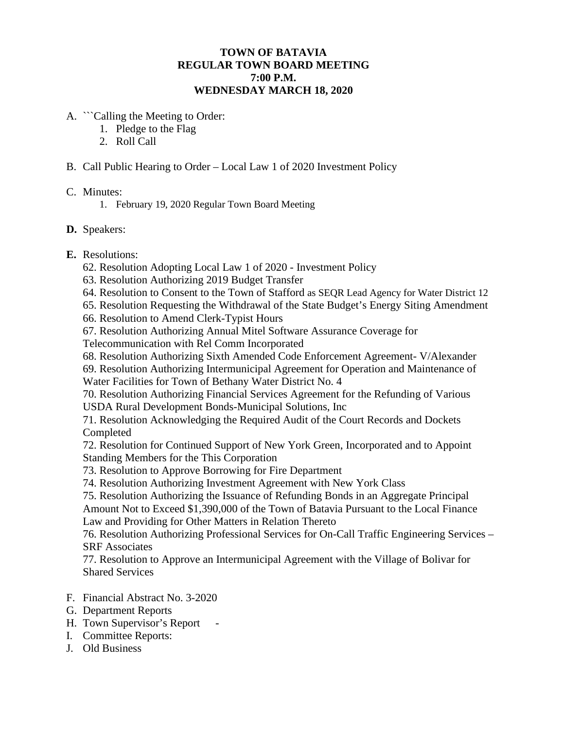## **TOWN OF BATAVIA REGULAR TOWN BOARD MEETING 7:00 P.M. WEDNESDAY MARCH 18, 2020**

- A. ```Calling the Meeting to Order:
	- 1. Pledge to the Flag
	- 2. Roll Call
- B. Call Public Hearing to Order Local Law 1 of 2020 Investment Policy

#### C. Minutes:

1. February 19, 2020 Regular Town Board Meeting

### **D.** Speakers:

### **E.** Resolutions:

- 62. Resolution Adopting Local Law 1 of 2020 Investment Policy
- 63. Resolution Authorizing 2019 Budget Transfer
- 64. Resolution to Consent to the Town of Stafford as SEQR Lead Agency for Water District 12
- 65. Resolution Requesting the Withdrawal of the State Budget's Energy Siting Amendment
- 66. Resolution to Amend Clerk-Typist Hours
- 67. Resolution Authorizing Annual Mitel Software Assurance Coverage for
- Telecommunication with Rel Comm Incorporated
- 68. Resolution Authorizing Sixth Amended Code Enforcement Agreement- V/Alexander
- 69. Resolution Authorizing Intermunicipal Agreement for Operation and Maintenance of Water Facilities for Town of Bethany Water District No. 4
- 70. Resolution Authorizing Financial Services Agreement for the Refunding of Various USDA Rural Development Bonds-Municipal Solutions, Inc
- 71. Resolution Acknowledging the Required Audit of the Court Records and Dockets Completed
- 72. Resolution for Continued Support of New York Green, Incorporated and to Appoint Standing Members for the This Corporation
- 73. Resolution to Approve Borrowing for Fire Department
- 74. Resolution Authorizing Investment Agreement with New York Class
- 75. Resolution Authorizing the Issuance of Refunding Bonds in an Aggregate Principal Amount Not to Exceed \$1,390,000 of the Town of Batavia Pursuant to the Local Finance Law and Providing for Other Matters in Relation Thereto
- 76. Resolution Authorizing Professional Services for On-Call Traffic Engineering Services SRF Associates
- 77. Resolution to Approve an Intermunicipal Agreement with the Village of Bolivar for Shared Services
- F. Financial Abstract No. 3-2020
- G. Department Reports
- H. Town Supervisor's Report -
- I. Committee Reports:
- J. Old Business